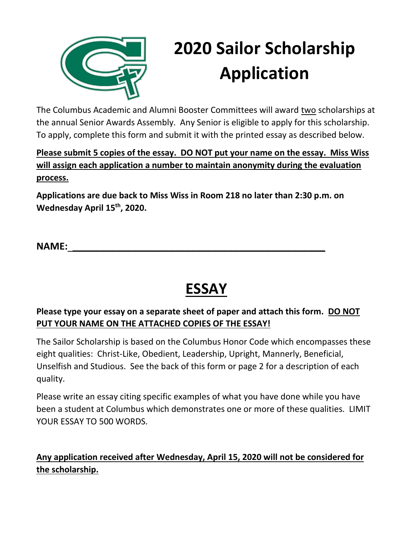

# **2020 Sailor Scholarship Application**

The Columbus Academic and Alumni Booster Committees will award two scholarships at the annual Senior Awards Assembly. Any Senior is eligible to apply for this scholarship. To apply, complete this form and submit it with the printed essay as described below.

**Please submit 5 copies of the essay. DO NOT put your name on the essay. Miss Wiss will assign each application a number to maintain anonymity during the evaluation process.** 

**Applications are due back to Miss Wiss in Room 218 no later than 2:30 p.m. on Wednesday April 15 th, 2020.**

**NAME: \_\_\_\_\_\_\_\_\_\_\_\_\_\_\_\_\_\_\_\_\_\_\_\_\_\_\_\_\_\_\_\_\_\_\_\_\_\_\_\_\_\_\_\_\_\_\_**

## **ESSAY**

#### **Please type your essay on a separate sheet of paper and attach this form. DO NOT PUT YOUR NAME ON THE ATTACHED COPIES OF THE ESSAY!**

The Sailor Scholarship is based on the Columbus Honor Code which encompasses these eight qualities: Christ-Like, Obedient, Leadership, Upright, Mannerly, Beneficial, Unselfish and Studious. See the back of this form or page 2 for a description of each quality.

Please write an essay citing specific examples of what you have done while you have been a student at Columbus which demonstrates one or more of these qualities. LIMIT YOUR ESSAY TO 500 WORDS.

#### **Any application received after Wednesday, April 15, 2020 will not be considered for the scholarship.**